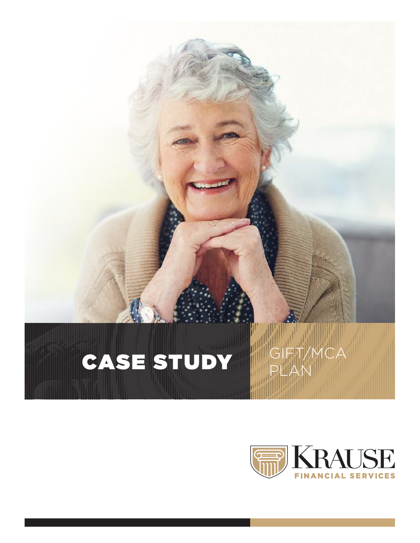### CASE STUDY PLAN

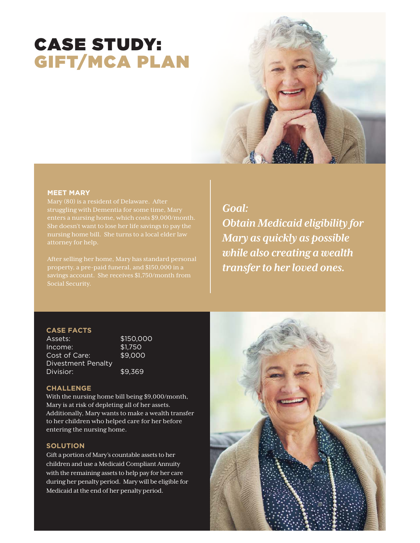### CASE STUDY: GIFT/MCA PLAN



#### **MEET MARY**

Mary (80) is a resident of Delaware. After struggling with Dementia for some time, Mary She doesn't want to lose her life savings to pay the

After selling her home, Mary has standard personal Social Security.

#### *Goal:*

*Obtain Medicaid eligibility for Mary as quickly as possible while also creating a wealth transfer to her loved ones.*

#### **CASE FACTS**

Assets: \$150,000<br>| Income: \$1,750 Income: Cost of Care: \$9,000 Divestment Penalty Divisior: \$9,369

#### **CHALLENGE**

With the nursing home bill being \$9,000/month, Mary is at risk of depleting all of her assets. Additionally, Mary wants to make a wealth transfer to her children who helped care for her before entering the nursing home.

#### **SOLUTION**

Gift a portion of Mary's countable assets to her children and use a Medicaid Compliant Annuity with the remaining assets to help pay for her care during her penalty period. Mary will be eligible for Medicaid at the end of her penalty period.